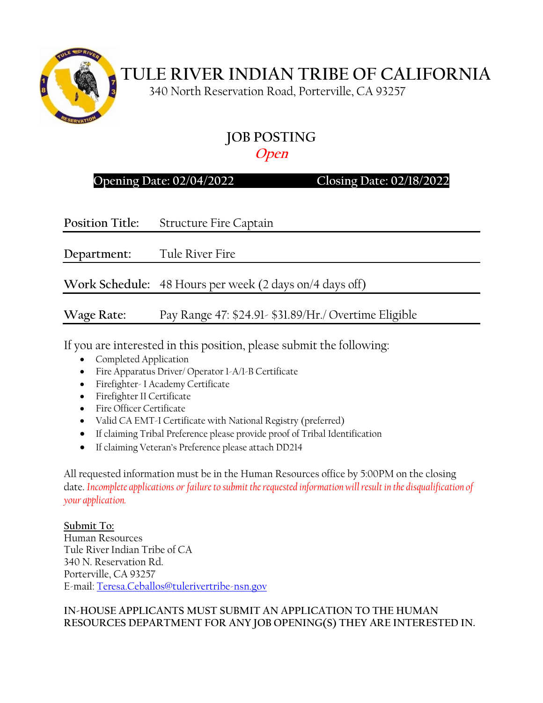

# **TULE RIVER INDIAN TRIBE OF CALIFORNIA**

340 North Reservation Road, Porterville, CA 93257

## **JOB POSTING Open**

## **Opening Date: 02/04/2022 Closing Date: 02/18/2022**

**Position Title:** Structure Fire Captain

**Department:** Tule River Fire

**Work Schedule:** 48 Hours per week (2 days on/4 days off)

**Wage Rate:** Pay Range 47: \$24.91- \$31.89/Hr./ Overtime Eligible

If you are interested in this position, please submit the following:

- Completed Application
- Fire Apparatus Driver/ Operator 1-A/1-B Certificate
- Firefighter- I Academy Certificate
- Firefighter II Certificate
- Fire Officer Certificate
- Valid CA EMT-I Certificate with National Registry (preferred)
- If claiming Tribal Preference please provide proof of Tribal Identification
- If claiming Veteran's Preference please attach DD214

All requested information must be in the Human Resources office by 5:00PM on the closing date. *Incomplete applications or failure to submit the requested information will result in the disqualification of your application.*

**Submit To:** Human Resources Tule River Indian Tribe of CA 340 N. Reservation Rd. Porterville, CA 93257 E-mail: [Teresa.Ceballos@tulerivertribe-nsn.gov](mailto:Teresa.Ceballos@tulerivertribe-nsn.gov)

#### **IN-HOUSE APPLICANTS MUST SUBMIT AN APPLICATION TO THE HUMAN RESOURCES DEPARTMENT FOR ANY JOB OPENING(S) THEY ARE INTERESTED IN.**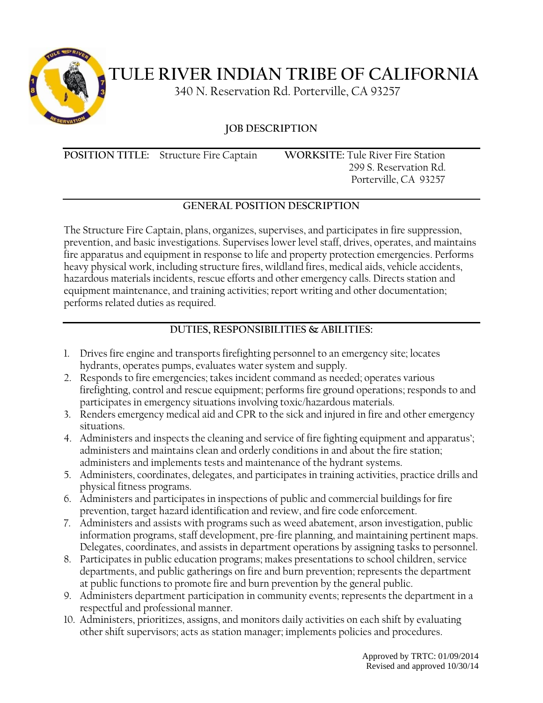

**TULE RIVER INDIAN TRIBE OF CALIFORNIA**

340 N. Reservation Rd. Porterville, CA 93257

**JOB DESCRIPTION**

**POSITION TITLE:** Structure Fire Captain **WORKSITE:** Tule River Fire Station

 299 S. Reservation Rd. Porterville, CA 93257

## **GENERAL POSITION DESCRIPTION**

The Structure Fire Captain, plans, organizes, supervises, and participates in fire suppression, prevention, and basic investigations. Supervises lower level staff, drives, operates, and maintains fire apparatus and equipment in response to life and property protection emergencies. Performs heavy physical work, including structure fires, wildland fires, medical aids, vehicle accidents, hazardous materials incidents, rescue efforts and other emergency calls. Directs station and equipment maintenance, and training activities; report writing and other documentation; performs related duties as required.

## **DUTIES, RESPONSIBILITIES & ABILITIES:**

- 1. Drives fire engine and transports firefighting personnel to an emergency site; locates hydrants, operates pumps, evaluates water system and supply.
- 2. Responds to fire emergencies; takes incident command as needed; operates various firefighting, control and rescue equipment; performs fire ground operations; responds to and participates in emergency situations involving toxic/hazardous materials.
- 3. Renders emergency medical aid and CPR to the sick and injured in fire and other emergency situations.
- 4. Administers and inspects the cleaning and service of fire fighting equipment and apparatus'; administers and maintains clean and orderly conditions in and about the fire station; administers and implements tests and maintenance of the hydrant systems.
- 5. Administers, coordinates, delegates, and participates in training activities, practice drills and physical fitness programs.
- 6. Administers and participates in inspections of public and commercial buildings for fire prevention, target hazard identification and review, and fire code enforcement.
- 7. Administers and assists with programs such as weed abatement, arson investigation, public information programs, staff development, pre-fire planning, and maintaining pertinent maps. Delegates, coordinates, and assists in department operations by assigning tasks to personnel.
- 8. Participates in public education programs; makes presentations to school children, service departments, and public gatherings on fire and burn prevention; represents the department at public functions to promote fire and burn prevention by the general public.
- 9. Administers department participation in community events; represents the department in a respectful and professional manner.
- 10. Administers, prioritizes, assigns, and monitors daily activities on each shift by evaluating other shift supervisors; acts as station manager; implements policies and procedures.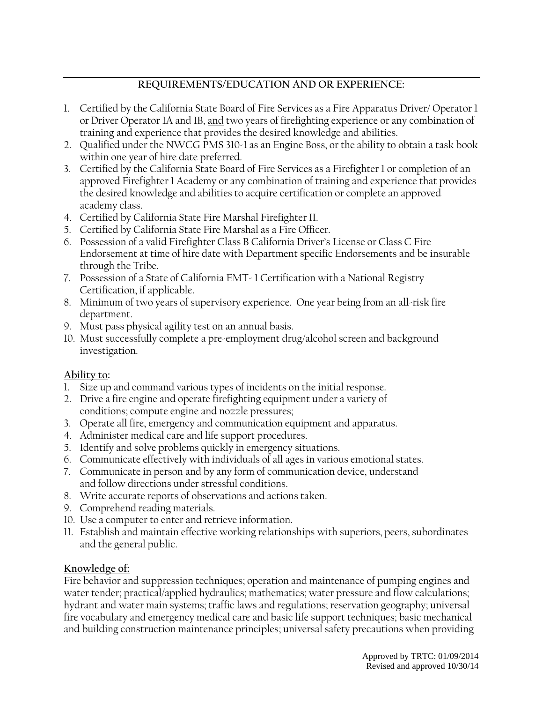#### **REQUIREMENTS/EDUCATION AND OR EXPERIENCE:**

- 1. Certified by the California State Board of Fire Services as a Fire Apparatus Driver/ Operator 1 or Driver Operator 1A and 1B, and two years of firefighting experience or any combination of training and experience that provides the desired knowledge and abilities.
- 2. Qualified under the NWCG PMS 310-1 as an Engine Boss, or the ability to obtain a task book within one year of hire date preferred.
- 3. Certified by the California State Board of Fire Services as a Firefighter 1 or completion of an approved Firefighter 1 Academy or any combination of training and experience that provides the desired knowledge and abilities to acquire certification or complete an approved academy class.
- 4. Certified by California State Fire Marshal Firefighter II.
- 5. Certified by California State Fire Marshal as a Fire Officer.
- 6. Possession of a valid Firefighter Class B California Driver's License or Class C Fire Endorsement at time of hire date with Department specific Endorsements and be insurable through the Tribe.
- 7. Possession of a State of California EMT- 1 Certification with a National Registry Certification, if applicable.
- 8. Minimum of two years of supervisory experience. One year being from an all-risk fire department.
- 9. Must pass physical agility test on an annual basis.
- 10. Must successfully complete a pre-employment drug/alcohol screen and background investigation.

#### **Ability to:**

- 1. Size up and command various types of incidents on the initial response.
- 2. Drive a fire engine and operate firefighting equipment under a variety of conditions; compute engine and nozzle pressures;
- 3. Operate all fire, emergency and communication equipment and apparatus.
- 4. Administer medical care and life support procedures.
- 5. Identify and solve problems quickly in emergency situations.
- 6. Communicate effectively with individuals of all ages in various emotional states.
- 7. Communicate in person and by any form of communication device, understand and follow directions under stressful conditions.
- 8. Write accurate reports of observations and actions taken.
- 9. Comprehend reading materials.
- 10. Use a computer to enter and retrieve information.
- 11. Establish and maintain effective working relationships with superiors, peers, subordinates and the general public.

#### **Knowledge of:**

Fire behavior and suppression techniques; operation and maintenance of pumping engines and water tender; practical/applied hydraulics; mathematics; water pressure and flow calculations; hydrant and water main systems; traffic laws and regulations; reservation geography; universal fire vocabulary and emergency medical care and basic life support techniques; basic mechanical and building construction maintenance principles; universal safety precautions when providing